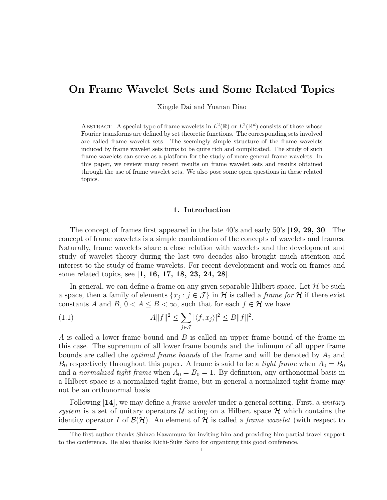# On Frame Wavelet Sets and Some Related Topics

Xingde Dai and Yuanan Diao

ABSTRACT. A special type of frame wavelets in  $L^2(\mathbb{R})$  or  $L^2(\mathbb{R}^d)$  consists of those whose Fourier transforms are defined by set theoretic functions. The corresponding sets involved are called frame wavelet sets. The seemingly simple structure of the frame wavelets induced by frame wavelet sets turns to be quite rich and complicated. The study of such frame wavelets can serve as a platform for the study of more general frame wavelets. In this paper, we review many recent results on frame wavelet sets and results obtained through the use of frame wavelet sets. We also pose some open questions in these related topics.

### 1. Introduction

The concept of frames first appeared in the late 40's and early 50's [19, 29, 30]. The concept of frame wavelets is a simple combination of the concepts of wavelets and frames. Naturally, frame wavelets share a close relation with wavelets and the development and study of wavelet theory during the last two decades also brought much attention and interest to the study of frame wavelets. For recent development and work on frames and some related topics, see [1, 16, 17, 18, 23, 24, 28].

In general, we can define a frame on any given separable Hilbert space. Let  $\mathcal H$  be such a space, then a family of elements  $\{x_j : j \in \mathcal{J}\}\$ in H is called a *frame for* H if there exist constants A and B,  $0 < A \leq B < \infty$ , such that for each  $f \in \mathcal{H}$  we have

(1.1) 
$$
A||f||^{2} \leq \sum_{j\in\mathcal{J}} |\langle f, x_{j}\rangle|^{2} \leq B||f||^{2}.
$$

A is called a lower frame bound and B is called an upper frame bound of the frame in this case. The supremum of all lower frame bounds and the infimum of all upper frame bounds are called the *optimal frame bounds* of the frame and will be denoted by  $A_0$  and  $B_0$  respectively throughout this paper. A frame is said to be a *tight frame* when  $A_0 = B_0$ and a normalized tight frame when  $A_0 = B_0 = 1$ . By definition, any orthonormal basis in a Hilbert space is a normalized tight frame, but in general a normalized tight frame may not be an orthonormal basis.

Following [14], we may define a *frame wavelet* under a general setting. First, a *unitary* system is a set of unitary operators  $U$  acting on a Hilbert space  $H$  which contains the identity operator I of  $\mathcal{B}(\mathcal{H})$ . An element of H is called a *frame wavelet* (with respect to

The first author thanks Shinzo Kawamura for inviting him and providing him partial travel support to the conference. He also thanks Kichi-Suke Saito for organizing this good conference.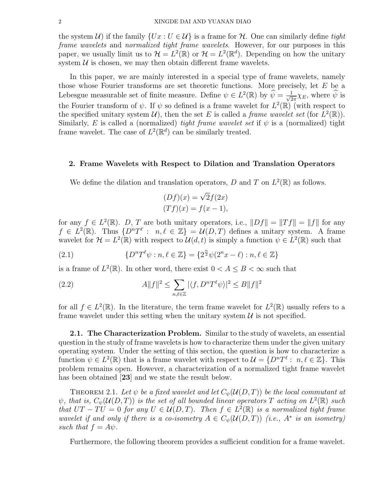the system  $\mathcal{U}$ ) if the family  $\{Ux : U \in \mathcal{U}\}\$ is a frame for  $\mathcal{H}$ . One can similarly define tight frame wavelets and normalized tight frame wavelets. However, for our purposes in this paper, we usually limit us to  $\mathcal{H} = L^2(\mathbb{R})$  or  $\mathcal{H} = L^2(\mathbb{R}^d)$ . Depending on how the unitary system  $U$  is chosen, we may then obtain different frame wavelets.

In this paper, we are mainly interested in a special type of frame wavelets, namely those whose Fourier transforms are set theoretic functions. More precisely, let E be a Lebesgue measurable set of finite measure. Define  $\psi \in L^2(\mathbb{R})$  by  $\widehat{\psi} = \frac{1}{\sqrt{2}}$  $\frac{1}{2\pi}\chi_E$ , where  $\widehat{\psi}$  is the Fourier transform of  $\psi$ . If  $\psi$  so defined is a frame wavelet for  $L^2(\mathbb{R})$  (with respect to the specified unitary system  $\mathcal{U}$ , then the set E is called a *frame wavelet set* (for  $L^2(\mathbb{R})$ ). Similarly, E is called a (normalized) tight frame wavelet set if  $\psi$  is a (normalized) tight frame wavelet. The case of  $L^2(\mathbb{R}^d)$  can be similarly treated.

## 2. Frame Wavelets with Respect to Dilation and Translation Operators

We define the dilation and translation operators, D and T on  $L^2(\mathbb{R})$  as follows.

$$
(Df)(x) = \sqrt{2}f(2x)
$$

$$
(Tf)(x) = f(x - 1),
$$

for any  $f \in L^2(\mathbb{R})$ . D, T are both unitary operators, i.e.,  $||Df|| = ||Tf|| = ||f||$  for any  $f \in L^2(\mathbb{R})$ . Thus  $\{D^nT^{\ell}: n,\ell \in \mathbb{Z}\} = \mathcal{U}(D,T)$  defines a unitary system. A frame wavelet for  $\mathcal{H} = L^2(\mathbb{R})$  with respect to  $\mathcal{U}(d,t)$  is simply a function  $\psi \in L^2(\mathbb{R})$  such that

(2.1) 
$$
\{D^{n}T^{\ell}\psi : n, \ell \in \mathbb{Z}\} = \{2^{\frac{n}{2}}\psi(2^{n}x - \ell) : n, \ell \in \mathbb{Z}\}\
$$

is a frame of  $L^2(\mathbb{R})$ . In other word, there exist  $0 < A \leq B < \infty$  such that

(2.2) 
$$
A||f||^2 \leq \sum_{n,\ell \in \mathbb{Z}} |\langle f, D^n T^{\ell} \psi \rangle|^2 \leq B||f||^2
$$

for all  $f \in L^2(\mathbb{R})$ . In the literature, the term frame wavelet for  $L^2(\mathbb{R})$  usually refers to a frame wavelet under this setting when the unitary system  $\mathcal U$  is not specified.

2.1. The Characterization Problem. Similar to the study of wavelets, an essential question in the study of frame wavelets is how to characterize them under the given unitary operating system. Under the setting of this section, the question is how to characterize a function  $\psi \in L^2(\mathbb{R})$  that is a frame wavelet with respect to  $\mathcal{U} = \{D^nT^{\ell} : n, \ell \in \mathbb{Z}\}.$  This problem remains open. However, a characterization of a normalized tight frame wavelet has been obtained [23] and we state the result below.

THEOREM 2.1. Let  $\psi$  be a fixed wavelet and let  $C_{\psi}(\mathcal{U}(D,T))$  be the local commutant at  $\psi$ , that is,  $C_{\psi}(\mathcal{U}(D,T))$  is the set of all bounded linear operators T acting on  $L^2(\mathbb{R})$  such that  $UT - TU = 0$  for any  $U \in \mathcal{U}(D, T)$ . Then  $f \in L^2(\mathbb{R})$  is a normalized tight frame wavelet if and only if there is a co-isometry  $A \in C_{\psi}(\mathcal{U}(D,T))$  (i.e.,  $A^*$  is an isometry) such that  $f = A\psi$ .

Furthermore, the following theorem provides a sufficient condition for a frame wavelet.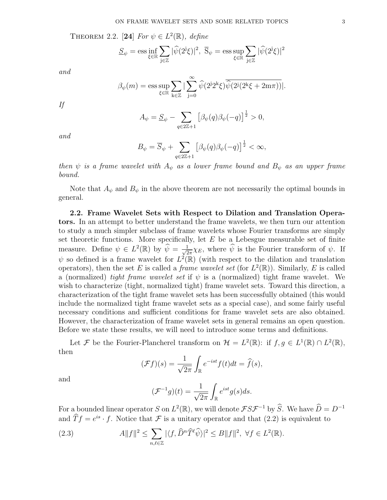THEOREM 2.2. [24] For  $\psi \in L^2(\mathbb{R})$ , define

$$
\underline{S}_{\psi} = \operatorname{ess} \inf_{\xi \in \mathbb{R}} \sum_{j \in \mathbb{Z}} |\widehat{\psi}(2^j \xi)|^2, \ \overline{S}_{\psi} = \operatorname{ess} \sup_{\xi \in \mathbb{R}} \sum_{j \in \mathbb{Z}} |\widehat{\psi}(2^j \xi)|^2
$$

and

$$
\beta_{\psi}(m) = \operatorname{ess} \sup_{\xi \in \mathbb{R}} \sum_{\mathbf{k} \in \mathbb{Z}} |\sum_{\mathbf{j} = 0}^{\infty} \widehat{\psi}(2^{\mathbf{j}} 2^{\mathbf{k}} \xi) \overline{\widehat{\psi}(2^{\mathbf{j}} (2^{\mathbf{k}} \xi + 2m\pi))}|.
$$

If

$$
A_{\psi} = \underline{S}_{\psi} - \sum_{q \in 2\mathbb{Z}+1} \left[ \beta_{\psi}(q) \beta_{\psi}(-q) \right]^{\frac{1}{2}} > 0,
$$

and

$$
B_{\psi} = \overline{S}_{\psi} + \sum_{q \in 2\mathbb{Z}+1} \left[ \beta_{\psi}(q) \beta_{\psi}(-q) \right]^{\frac{1}{2}} < \infty,
$$

then  $\psi$  is a frame wavelet with  $A_{\psi}$  as a lower frame bound and  $B_{\psi}$  as an upper frame bound.

Note that  $A_{\psi}$  and  $B_{\psi}$  in the above theorem are not necessarily the optimal bounds in general.

2.2. Frame Wavelet Sets with Respect to Dilation and Translation Operators. In an attempt to better understand the frame wavelets, we then turn our attention to study a much simpler subclass of frame wavelets whose Fourier transforms are simply set theoretic functions. More specifically, let  $E$  be a Lebesgue measurable set of finite measure. Define  $\psi \in L^2(\mathbb{R})$  by  $\widehat{\psi} = \frac{1}{\sqrt{2}}$  $\frac{1}{2\pi}\chi_E$ , where  $\widehat{\psi}$  is the Fourier transform of  $\psi$ . If  $\psi$  so defined is a frame wavelet for  $L^2(\mathbb{R})$  (with respect to the dilation and translation operators), then the set E is called a *frame wavelet set* (for  $L^2(\mathbb{R})$ ). Similarly, E is called a (normalized) tight frame wavelet set if  $\psi$  is a (normalized) tight frame wavelet. We wish to characterize (tight, normalized tight) frame wavelet sets. Toward this direction, a characterization of the tight frame wavelet sets has been successfully obtained (this would include the normalized tight frame wavelet sets as a special case), and some fairly useful necessary conditions and sufficient conditions for frame wavelet sets are also obtained. However, the characterization of frame wavelet sets in general remains an open question. Before we state these results, we will need to introduce some terms and definitions.

Let F be the Fourier-Plancherel transform on  $\mathcal{H} = L^2(\mathbb{R})$ : if  $f, g \in L^1(\mathbb{R}) \cap L^2(\mathbb{R})$ , then

$$
(\mathcal{F}f)(s) = \frac{1}{\sqrt{2\pi}} \int_{\mathbb{R}} e^{-ist} f(t) dt = \widehat{f}(s),
$$

and

$$
(\mathcal{F}^{-1}g)(t) = \frac{1}{\sqrt{2\pi}} \int_{\mathbb{R}} e^{ist} g(s) ds.
$$

For a bounded linear operator S on  $L^2(\mathbb{R})$ , we will denote  $\mathcal{FSF}^{-1}$  by  $\widehat{S}$ . We have  $\widehat{D} = D^{-1}$ and  $\widehat{T}f = e^{is} \cdot f$ . Notice that F is a unitary operator and that (2.2) is equivalent to

(2.3) 
$$
A||f||^2 \leq \sum_{n,\ell \in \mathbb{Z}} |\langle f, \widehat{D}^n \widehat{T}^{\ell} \widehat{\psi} \rangle|^2 \leq B||f||^2, \ \forall f \in L^2(\mathbb{R}).
$$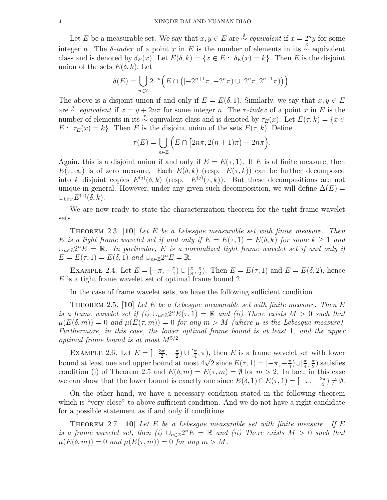Let E be a measurable set. We say that  $x, y \in E$  are  $\stackrel{\delta}{\sim}$  equivalent if  $x = 2^n y$  for some integer n. The  $\delta$ -index of a point x in E is the number of elements in its  $\stackrel{\delta}{\sim}$  equivalent class and is denoted by  $\delta_E(x)$ . Let  $E(\delta, k) = \{x \in E : \delta_E(x) = k\}$ . Then E is the disjoint union of the sets  $E(\delta, k)$ . Let  $\overline{a}$ ´

$$
\delta(E) = \bigcup_{n \in \mathbb{Z}} 2^{-n} \Big( E \cap \big( [-2^{n+1}\pi, -2^n\pi) \cup [2^n\pi, 2^{n+1}\pi) \big) \Big).
$$

The above is a disjoint union if and only if  $E = E(\delta, 1)$ . Similarly, we say that  $x, y \in E$ are  $\overline{\sim}$  equivalent if  $x = y + 2n\pi$  for some integer n. The  $\tau$ -index of a point x in E is the number of elements in its  $\sim \infty$  equivalent class and is denoted by  $\tau_E(x)$ . Let  $E(\tau, k) = \{x \in$  $E: \tau_E(x) = k$ . Then E is the disjoint union of the sets  $E(\tau, k)$ . Define  $\frac{1}{2}$ 

$$
\tau(E) = \bigcup_{n \in \mathbb{Z}} \left( E \cap \left[ 2n\pi, 2(n+1)\pi \right) - 2n\pi \right).
$$

Again, this is a disjoint union if and only if  $E = E(\tau, 1)$ . If E is of finite measure, then  $E(\tau,\infty)$  is of zero measure. Each  $E(\delta,k)$  (resp.  $E(\tau,k)$ ) can be further decomposed into k disjoint copies  $E^{(j)}(\delta, k)$  (resp.  $E^{(j)}(\tau, k)$ ). But these decompositions are not unique in general. However, under any given such decomposition, we will define  $\Delta(E)$  =  $\cup_{k\in\mathbb{Z}}E^{(1)}(\delta,k).$ 

We are now ready to state the characterization theorem for the tight frame wavelet sets.

THEOREM 2.3.  $[10]$  Let E be a Lebesgue measurable set with finite measure. Then E is a tight frame wavelet set if and only if  $E = E(\tau, 1) = E(\delta, k)$  for some  $k \geq 1$  and  $\cup_{n\in\mathbb{Z}}2^nE = \mathbb{R}$ . In particular, E is a normalized tight frame wavelet set if and only if  $E = E(\tau, 1) = E(\delta, 1)$  and  $\bigcup_{n \in \mathbb{Z}} 2^n E = \mathbb{R}$ .

EXAMPLE 2.4. Let  $E = [-\pi, -\frac{\pi}{4}]$  $\frac{\pi}{4}$ ) ∪  $\left[\frac{\pi}{8}\right]$  $\frac{\pi}{8}, \frac{\pi}{2}$  $\frac{\pi}{2}$ ). Then  $E = E(\tau, 1)$  and  $E = E(\delta, 2)$ , hence E is a tight frame wavelet set of optimal frame bound 2.

In the case of frame wavelet sets, we have the following sufficient condition.

THEOREM 2.5.  $[10]$  Let E be a Lebesgue measurable set with finite measure. Then E is a frame wavelet set if (i)  $\bigcup_{n\in\mathbb{Z}}2^nE(\tau,1)=\mathbb{R}$  and (ii) There exists  $M>0$  such that  $\mu(E(\delta,m)) = 0$  and  $\mu(E(\tau,m)) = 0$  for any  $m > M$  (where  $\mu$  is the Lebesgue measure). Furthermore, in this case, the lower optimal frame bound is at least 1, and the upper optimal frame bound is at most  $M^{5/2}$ .

EXAMPLE 2.6. Let  $E = \left[-\frac{3\pi}{2}\right]$  $\frac{3\pi}{2}, -\frac{\pi}{2}$  $\frac{\pi}{2}$ ) ∪  $\left[\frac{\pi}{4}\right]$  $(\frac{\pi}{4}, \pi)$ , then E is a frame wavelet set with lower EXAMPLE 2.0. Let  $E = [-\frac{1}{2}, -\frac{1}{2}] \cup [\frac{1}{4}, \pi]$ , then E is a frame waver<br>bound at least one and upper bound at most  $4\sqrt{2}$  since  $E(\tau, 1) = [-\pi, -\frac{\pi}{4}]$  $\frac{\pi}{4}$ )∪ $\frac{\pi}{4}$  $\frac{\pi}{4}$ ,  $\frac{\pi}{2}$  $\frac{\pi}{2}$ ) satisfies condition (i) of Theorem 2.5 and  $E(\delta, m) = E(\tau, m) = \emptyset$  for  $m > 2$ . In fact, in this case we can show that the lower bound is exactly one since  $E(\delta, 1) \cap E(\tau, 1) = [-\pi, -\frac{3\pi}{4}]$  $\frac{3\pi}{4})\neq\emptyset.$ 

On the other hand, we have a necessary condition stated in the following theorem which is "very close" to above sufficient condition. And we do not have a right candidate for a possible statement as if and only if conditions.

THEOREM 2.7.  $\boxed{10}$  Let E be a Lebesque measurable set with finite measure. If E is a frame wavelet set, then (i)  $\bigcup_{n\in\mathbb{Z}}2^nE = \mathbb{R}$  and (ii) There exists  $M > 0$  such that  $\mu(E(\delta,m)) = 0$  and  $\mu(E(\tau,m)) = 0$  for any  $m > M$ .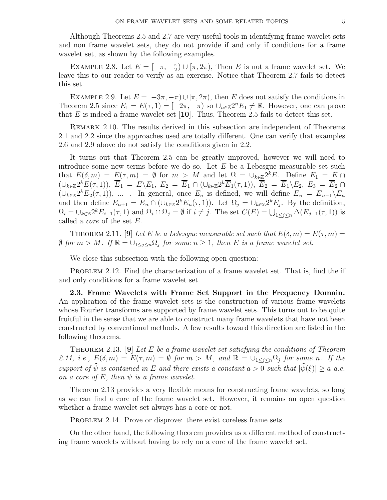Although Theorems 2.5 and 2.7 are very useful tools in identifying frame wavelet sets and non frame wavelet sets, they do not provide if and only if conditions for a frame wavelet set, as shown by the following examples.

EXAMPLE 2.8. Let  $E = \left[-\pi, -\frac{\pi}{2}\right]$  $\frac{\pi}{2}$   $\cup$  [ $\pi$ ,  $2\pi$ ), Then E is not a frame wavelet set. We leave this to our reader to verify as an exercise. Notice that Theorem 2.7 fails to detect this set.

EXAMPLE 2.9. Let  $E = [-3\pi, -\pi) \cup [\pi, 2\pi)$ , then E does not satisfy the conditions in Theorem 2.5 since  $E_1 = E(\tau, 1) = [-2\pi, -\pi)$  so  $\cup_{n \in \mathbb{Z}} 2^n E_1 \neq \mathbb{R}$ . However, one can prove that  $E$  is indeed a frame wavelet set [10]. Thus, Theorem 2.5 fails to detect this set.

Remark 2.10. The results derived in this subsection are independent of Theorems 2.1 and 2.2 since the approaches used are totally different. One can verify that examples 2.6 and 2.9 above do not satisfy the conditions given in 2.2.

It turns out that Theorem 2.5 can be greatly improved, however we will need to introduce some new terms before we do so. Let  $E$  be a Lebesgue measurable set such that  $E(\delta, m) = E(\tau, m) = \emptyset$  for  $m > M$  and let  $\Omega = \bigcup_{k \in \mathbb{Z}} 2^k E$ . Define  $E_1 = E \cap$  $( \cup_{k \in \mathbb{Z}} 2^k E(\tau, 1)), \ \overline{E}_1 \ = \ E \setminus E_1, \ E_2 \ = \ \overline{E}_1 \cap (\cup_{k \in \mathbb{Z}} 2^k \overline{E}_1(\tau, 1)), \ \overline{E}_2 \ = \ \overline{E}_1 \setminus \underline{E}_2, \ E_3 \ = \ \overline{E}_2 \ \cap$  $(\cup_{k\in\mathbb{Z}} 2^k \overline{E}_2(\tau,1)), \dots$  . In general, once  $E_n$  is defined, we will define  $\overline{E}_n = \overline{E}_{n-1}\setminus E_n$ and then define  $E_{n+1} = \overline{E}_n \cap (\cup_{k \in \mathbb{Z}} 2^k \overline{E}_n(\tau, 1))$ . Let  $\Omega_j = \cup_{k \in \mathbb{Z}} 2^k E_j$ . By the definition, and then define  $E_{n+1} = E_n \cap (\bigcup_{k \in \mathbb{Z}} \Sigma E_n(\tau, 1))$ . Let  $\Omega_j = \bigcup_{k \in \mathbb{Z}} \Sigma E_j$ . By the definition,<br>  $\Omega_i = \bigcup_{k \in \mathbb{Z}} 2^k \overline{E}_{i-1}(\tau, 1)$  and  $\Omega_i \cap \Omega_j = \emptyset$  if  $i \neq j$ . The set  $C(E) = \bigcup_{1 \leq j \leq n} \Delta(\overline{E}_{j-1}(\tau, 1))$  called a core of the set E.

THEOREM 2.11. [9] Let E be a Lebesgue measurable set such that  $E(\delta, m) = E(\tau, m) =$  $\emptyset$  for  $m > M$ . If  $\mathbb{R} = \bigcup_{1 \leq j \leq n} \Omega_j$  for some  $n \geq 1$ , then E is a frame wavelet set.

We close this subsection with the following open question:

PROBLEM 2.12. Find the characterization of a frame wavelet set. That is, find the if and only conditions for a frame wavelet set.

2.3. Frame Wavelets with Frame Set Support in the Frequency Domain. An application of the frame wavelet sets is the construction of various frame wavelets whose Fourier transforms are supported by frame wavelet sets. This turns out to be quite fruitful in the sense that we are able to construct many frame wavelets that have not been constructed by conventional methods. A few results toward this direction are listed in the following theorems.

THEOREM 2.13. [9] Let E be a frame wavelet set satisfying the conditions of Theorem 2.11, i.e.,  $E(\delta, m) = E(\tau, m) = \emptyset$  for  $m > M$ , and  $\mathbb{R} = \bigcup_{1 \leq j \leq n} \Omega_j$  for some n. If the support of  $\hat{\psi}$  is contained in E and there exists a constant  $a > 0$  such that  $|\hat{\psi}(\xi)| \ge a$  a.e. on a core of E, then  $\psi$  is a frame wavelet.

Theorem 2.13 provides a very flexible means for constructing frame wavelets, so long as we can find a core of the frame wavelet set. However, it remains an open question whether a frame wavelet set always has a core or not.

PROBLEM 2.14. Prove or disprove: there exist coreless frame sets.

On the other hand, the following theorem provides us a different method of constructing frame wavelets without having to rely on a core of the frame wavelet set.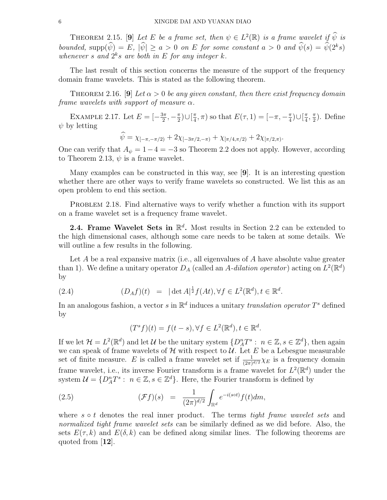THEOREM 2.15. [9] Let E be a frame set, then  $\psi \in L^2(\mathbb{R})$  is a frame wavelet if  $\widehat{\psi}$  is bounded,  $\text{supp}(\widehat{\psi}) = E$ ,  $|\widehat{\psi}| \ge a > 0$  on E for some constant  $a > 0$  and  $\widehat{\psi}(s) = \widehat{\psi}(2^k s)$ whenever s and  $2^k s$  are both in E for any integer k.

The last result of this section concerns the measure of the support of the frequency domain frame wavelets. This is stated as the following theorem.

THEOREM 2.16. [9] Let  $\alpha > 0$  be any given constant, then there exist frequency domain frame wavelets with support of measure  $\alpha$ .

EXAMPLE 2.17. Let  $E = \left[-\frac{3\pi}{2}\right]$  $\frac{3\pi}{2}, -\frac{\pi}{2}$  $\frac{\pi}{2}$ )∪ $\left[\frac{\pi}{4}\right]$  $(\frac{\pi}{4}, \pi)$  so that  $E(\tau, 1) = [-\pi, -\frac{\pi}{4}]$  $\frac{\pi}{4}$ )∪ $\frac{\pi}{4}$  $\frac{\pi}{4}$ ,  $\frac{\pi}{2}$  $\frac{\pi}{2}$ ). Define  $\psi$  by letting

$$
\widehat{\psi} = \chi_{[-\pi, -\pi/2)} + 2\chi_{[-3\pi/2, -\pi)} + \chi_{[\pi/4, \pi/2)} + 2\chi_{[\pi/2, \pi)}.
$$

One can verify that  $A_{\psi} = 1 - 4 = -3$  so Theorem 2.2 does not apply. However, according to Theorem 2.13,  $\psi$  is a frame wavelet.

Many examples can be constructed in this way, see [9]. It is an interesting question whether there are other ways to verify frame wavelets so constructed. We list this as an open problem to end this section.

PROBLEM 2.18. Find alternative ways to verify whether a function with its support on a frame wavelet set is a frequency frame wavelet.

2.4. Frame Wavelet Sets in  $\mathbb{R}^d$ . Most results in Section 2.2 can be extended to the high dimensional cases, although some care needs to be taken at some details. We will outline a few results in the following.

Let  $A$  be a real expansive matrix (i.e., all eigenvalues of  $A$  have absolute value greater than 1). We define a unitary operator  $D_A$  (called an A-dilation operator) acting on  $L^2(\mathbb{R}^d)$ by

(2.4) 
$$
(D_A f)(t) = |\det A|^{\frac{1}{2}} f(At), \forall f \in L^2(\mathbb{R}^d), t \in \mathbb{R}^d.
$$

In an analogous fashion, a vector s in  $\mathbb{R}^d$  induces a unitary translation operator  $T^s$  defined by

$$
(T^s f)(t) = f(t - s), \forall f \in L^2(\mathbb{R}^d), t \in \mathbb{R}^d.
$$

If we let  $\mathcal{H} = L^2(\mathbb{R}^d)$  and let  $\mathcal{U}$  be the unitary system  $\{D_A^n T^s : n \in \mathbb{Z}, s \in \mathbb{Z}^d\}$ , then again we can speak of frame wavelets of  $H$  with respect to  $U$ . Let E be a Lebesgue measurable set of finite measure. E is called a frame wavelet set if  $\frac{1}{(2\pi)^{d/2}}\chi_E$  is a frequency domain frame wavelet, i.e., its inverse Fourier transform is a frame wavelet for  $L^2(\mathbb{R}^d)$  under the system  $\mathcal{U} = \{D_A^n T^s : n \in \mathbb{Z}, s \in \mathbb{Z}^d\}$ . Here, the Fourier transform is defined by

(2.5) 
$$
(\mathcal{F}f)(s) = \frac{1}{(2\pi)^{d/2}} \int_{\mathbb{R}^d} e^{-i(s\circ t)} f(t) dm,
$$

where  $s \circ t$  denotes the real inner product. The terms tight frame wavelet sets and normalized tight frame wavelet sets can be similarly defined as we did before. Also, the sets  $E(\tau, k)$  and  $E(\delta, k)$  can be defined along similar lines. The following theorems are quoted from [12].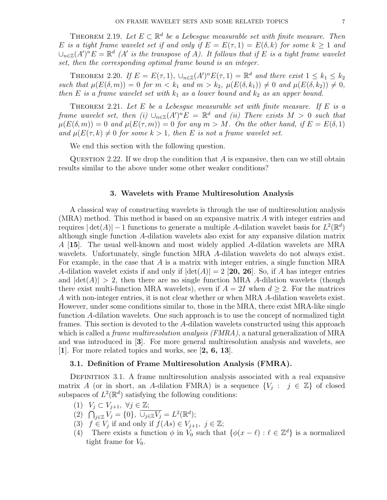THEOREM 2.19. Let  $E \subset \mathbb{R}^d$  be a Lebesgue measurable set with finite measure. Then E is a tight frame wavelet set if and only if  $E = E(\tau, 1) = E(\delta, k)$  for some  $k > 1$  and  $\cup_{n\in\mathbb{Z}}(A')^nE=\mathbb{R}^d$  (A' is the transpose of A). It follows that if E is a tight frame wavelet set, then the corresponding optimal frame bound is an integer.

THEOREM 2.20. If  $E = E(\tau, 1)$ ,  $\cup_{n \in \mathbb{Z}} (A')^n E(\tau, 1) = \mathbb{R}^d$  and there exist  $1 \leq k_1 \leq k_2$ such that  $\mu(E(\delta, m)) = 0$  for  $m < k_1$  and  $m > k_2$ ,  $\mu(E(\delta, k_1)) \neq 0$  and  $\mu(E(\delta, k_2)) \neq 0$ , then E is a frame wavelet set with  $k_1$  as a lower bound and  $k_2$  as an upper bound.

THEOREM 2.21. Let  $E$  be a Lebesgue measurable set with finite measure. If  $E$  is a frame wavelet set, then (i)  $\cup_{n\in\mathbb{Z}}(A')^nE = \mathbb{R}^d$  and (ii) There exists  $M > 0$  such that  $\mu(E(\delta,m)) = 0$  and  $\mu(E(\tau,m)) = 0$  for any  $m > M$ . On the other hand, if  $E = E(\delta, 1)$ and  $\mu(E(\tau, k) \neq 0$  for some  $k > 1$ , then E is not a frame wavelet set.

We end this section with the following question.

QUESTION 2.22. If we drop the condition that  $A$  is expansive, then can we still obtain results similar to the above under some other weaker conditions?

#### 3. Wavelets with Frame Multiresolution Analysis

A classical way of constructing wavelets is through the use of multiresolution analysis (MRA) method. This method is based on an expansive matrix A with integer entries and requires  $|\det(A)| - 1$  functions to generate a multiple A-dilation wavelet basis for  $L^2(\mathbb{R}^d)$ although single function A-dilation wavelets also exist for any expansive dilation matrix A [15]. The usual well-known and most widely applied A-dilation wavelets are MRA wavelets. Unfortunately, single function MRA A-dilation wavelets do not always exist. For example, in the case that A is a matrix with integer entries, a single function MRA A-dilation wavelet exists if and only if  $|\det(A)| = 2$  [20, 26]. So, if A has integer entries and  $|\text{det}(A)| > 2$ , then there are no single function MRA A-dilation wavelets (though there exist multi-function MRA wavelets), even if  $A = 2I$  when  $d > 2$ . For the matrices A with non-integer entries, it is not clear whether or when MRA A-dilation wavelets exist. However, under some conditions similar to, those in the MRA, there exist MRA-like single function A-dilation wavelets. One such approach is to use the concept of normalized tight frames. This section is devoted to the A-dilation wavelets constructed using this approach which is called a *frame multiresolution analysis (FMRA)*, a natural generalization of MRA and was introduced in [3]. For more general multiresolution analysis and wavelets, see [1]. For more related topics and works, see [2, 6, 13].

## 3.1. Definition of Frame Multiresolution Analysis (FMRA).

DEFINITION 3.1. A frame multiresolution analysis associated with a real expansive matrix A (or in short, an A-dilation FMRA) is a sequence  $\{V_j : j \in \mathbb{Z}\}\$  of closed subspaces of  $L^2(\mathbb{R}^d)$  satisfying the following conditions:

- (1)  $V_j \subset V_{j+1}, \ \forall j \in \mathbb{Z};$
- (1)  $V_j \subset V_{j+1}, V_j \in \mathbb{Z};$ <br>
(2)  $\bigcap_{j \in \mathbb{Z}} V_j = \{0\}, \overline{\bigcup_{j \in \mathbb{Z}} V_j} = L^2(\mathbb{R}^d);$
- (3)  $f \in V_j$  if and only if  $f(As) \in V_{j+1}, j \in \mathbb{Z}$ ;
- (4) There exists a function  $\phi$  in  $V_0$  such that  $\{\phi(x \ell) : \ell \in \mathbb{Z}^d\}$  is a normalized tight frame for  $V_0$ .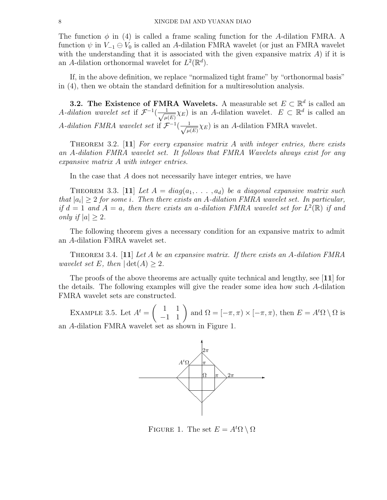The function  $\phi$  in (4) is called a frame scaling function for the A-dilation FMRA. A function  $\psi$  in  $V_{-1} \oplus V_0$  is called an A-dilation FMRA wavelet (or just an FMRA wavelet with the understanding that it is associated with the given expansive matrix  $A$ ) if it is an A-dilation orthonormal wavelet for  $L^2(\mathbb{R}^d)$ .

If, in the above definition, we replace "normalized tight frame" by "orthonormal basis" in (4), then we obtain the standard definition for a multiresolution analysis.

**3.2.** The Existence of FMRA Wavelets. A measurable set  $E \subset \mathbb{R}^d$  is called an A-dilation wavelet set if  $\mathcal{F}^{-1}(\frac{1}{\sqrt{2}})$  $\frac{1}{\mu(E)}\chi_E$ ) is an A-dilation wavelet.  $E \subset \mathbb{R}^d$  is called an A-dilation FMRA wavelet set if  $\mathcal{F}^{-1}(\frac{1}{\sqrt{2}})$  $\frac{1}{\mu(E)}\chi_E$ ) is an A-dilation FMRA wavelet.

THEOREM 3.2.  $[11]$  For every expansive matrix A with integer entries, there exists an A-dilation FMRA wavelet set. It follows that FMRA Wavelets always exist for any expansive matrix A with integer entries.

In the case that A does not necessarily have integer entries, we have

THEOREM 3.3. [11] Let  $A = diag(a_1, \ldots, a_d)$  be a diagonal expansive matrix such that  $|a_i| \geq 2$  for some i. Then there exists an A-dilation FMRA wavelet set. In particular, if  $d = 1$  and  $A = a$ , then there exists an a-dilation FMRA wavelet set for  $L^2(\mathbb{R})$  if and only if  $|a| \geq 2$ .

The following theorem gives a necessary condition for an expansive matrix to admit an A-dilation FMRA wavelet set.

THEOREM 3.4. [11] Let A be an expansive matrix. If there exists an A-dilation FMRA wavelet set E, then  $|\det(A)| \geq 2$ .

The proofs of the above theorems are actually quite technical and lengthy, see  $[11]$  for the details. The following examples will give the reader some idea how such A-dilation FMRA wavelet sets are constructed.

EXAMPLE 3.5. Let  $A^t =$  $\overline{a}$ 1 1  $\begin{pmatrix} 1 & 1 \\ -1 & 1 \end{pmatrix}$  and  $\Omega = [-\pi, \pi) \times [-\pi, \pi)$ , then  $E = A^t \Omega \setminus \Omega$  is an A-dilation FMRA wavelet set as shown in Figure 1.



FIGURE 1. The set  $E = A^t \Omega \setminus \Omega$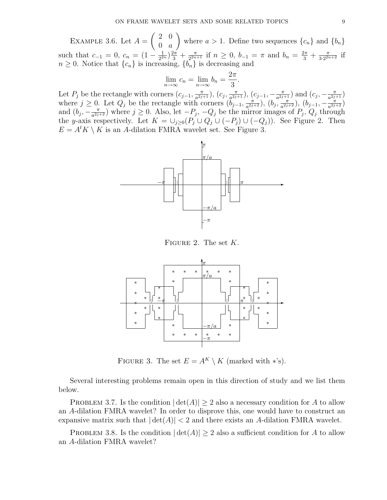EXAMPLE 3.6. Let  $A =$  $\overline{a}$ 2 0  $0 \quad a$  $\mathbf{r}$ where  $a > 1$ . Define two sequences  $\{c_n\}$  and  $\{b_n\}$ such that  $c_{-1} = 0$ ,  $c_n = (1 - \frac{1}{2^2})$  $\frac{1}{2^{2n}} \big)^{2\pi} + \frac{\pi}{2^{2n}}$  $\frac{\pi}{2^{2n+1}}$  if  $n \geq 0$ ,  $b_{-1} = \pi$  and  $b_n = \frac{2\pi}{3} + \frac{\pi}{3 \cdot 2^{2n}}$  $\frac{\pi}{3 \cdot 2^{2n+2}}$  if  $n \geq 0$ . Notice that  $\{c_n\}$  is increasing,  $\{b_n\}$  is decreasing and

$$
\lim_{n \to \infty} c_n = \lim_{n \to \infty} b_n = \frac{2\pi}{3}.
$$

Let  $P_j$  be the rectangle with corners  $(c_{j-1}, \frac{\pi}{a^{2j}})$  $\frac{\pi}{a^{2j+1}}$ ),  $(c_j, \frac{\pi}{a^{2j}})$  $(\frac{\pi}{a^{2j+1}}), (c_{j-1}, -\frac{\pi}{a^{2j}})$  $\frac{\pi}{a^{2j+1}}$ ) and  $(c_j, -\frac{\pi}{a^{2j}})$  $\frac{\pi}{a^{2j+1}}$ where  $j \geq 0$ . Let  $Q_j$  be the rectangle with corners  $(\tilde{b}_{j-1}, \frac{\pi}{a^{2j}})$  $\frac{\pi}{a^{2j+2}}$ ),  $(b_j, \frac{\pi}{a^{2j}})$  $(\frac{\pi}{a^{2j+2}}), (b_{j-1}, -\frac{\pi}{a^{2j}})$  $\frac{\pi}{a^{2j+2}})$ and  $(b_j, -\frac{\pi}{a^2j})$  $\frac{\pi}{a^{2j+2}}$ ) where  $j \ge 0$ . Also, let  $-P_j$ ,  $-Q_j$  be the mirror images of  $P_j$ ,  $Q_j$  through the y-axis respectively. Let  $K = \bigcup_{j\geq 0} (P_j \cup Q_j \cup (-P_j) \cup (-Q_j)).$  See Figure 2. Then  $E = A^t K \setminus K$  is an A-dilation FMRA wavelet set. See Figure 3.



FIGURE 2. The set  $K$ .



FIGURE 3. The set  $E = A^K \setminus K$  (marked with \*'s).

Several interesting problems remain open in this direction of study and we list them below.

PROBLEM 3.7. Is the condition  $|\det(A)| \geq 2$  also a necessary condition for A to allow an A-dilation FMRA wavelet? In order to disprove this, one would have to construct an expansive matrix such that  $|\det(A)| < 2$  and there exists an A-dilation FMRA wavelet.

PROBLEM 3.8. Is the condition  $|\det(A)| \geq 2$  also a sufficient condition for A to allow an A-dilation FMRA wavelet?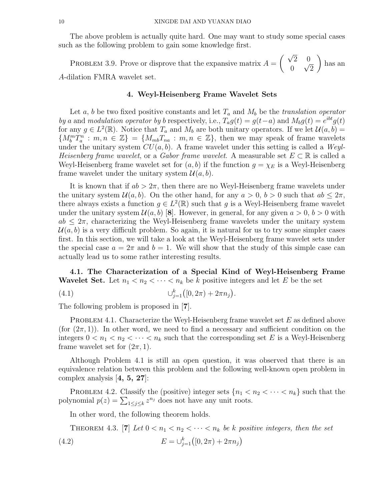The above problem is actually quite hard. One may want to study some special cases such as the following problem to gain some knowledge first.

PROBLEM 3.9. Prove or disprove that the expansive matrix  $A =$  $\frac{1}{2}$ 2 0 0 √ 2  $\mathbf{r}$ has an A-dilation FMRA wavelet set.

#### 4. Weyl-Heisenberg Frame Wavelet Sets

Let a, b be two fixed positive constants and let  $T_a$  and  $M_b$  be the translation operator by a and modulation operator by b respectively, i.e.,  $T_a g(t) = g(t-a)$  and  $M_b g(t) = e^{ibt} g(t)$ for any  $g \in L^2(\mathbb{R})$ . Notice that  $T_a$  and  $M_b$  are both unitary operators. If we let  $\mathcal{U}(a, b) =$  ${M_b^m T_a^n : m, n \in \mathbb{Z}} = {M_{mb} T_{na} : m, n \in \mathbb{Z}}$ , then we may speak of frame wavelets under the unitary system  $CU(a, b)$ . A frame wavelet under this setting is called a Weyl-Heisenberg frame wavelet, or a Gabor frame wavelet. A measurable set  $E \subset \mathbb{R}$  is called a Weyl-Heisenberg frame wavelet set for  $(a, b)$  if the function  $g = \chi_E$  is a Weyl-Heisenberg frame wavelet under the unitary system  $\mathcal{U}(a, b)$ .

It is known that if  $ab > 2\pi$ , then there are no Weyl-Heisenberg frame wavelets under the unitary system  $\mathcal{U}(a, b)$ . On the other hand, for any  $a > 0$ ,  $b > 0$  such that  $ab \leq 2\pi$ , there always exists a function  $g \in L^2(\mathbb{R})$  such that g is a Weyl-Heisenberg frame wavelet under the unitary system  $\mathcal{U}(a, b)$  [8]. However, in general, for any given  $a > 0$ ,  $b > 0$  with  $ab \leq 2\pi$ , characterizing the Weyl-Heisenberg frame wavelets under the unitary system  $\mathcal{U}(a, b)$  is a very difficult problem. So again, it is natural for us to try some simpler cases first. In this section, we will take a look at the Weyl-Heisenberg frame wavelet sets under the special case  $a = 2\pi$  and  $b = 1$ . We will show that the study of this simple case can actually lead us to some rather interesting results.

4.1. The Characterization of a Special Kind of Weyl-Heisenberg Frame **Wavelet Set.** Let  $n_1 < n_2 < \cdots < n_k$  be k positive integers and let E be the set ¢

(4.1) 
$$
\bigcup_{j=1}^{k} ([0, 2\pi) + 2\pi n_j).
$$

The following problem is proposed in [7].

PROBLEM 4.1. Characterize the Weyl-Heisenberg frame wavelet set  $E$  as defined above (for  $(2\pi, 1)$ ). In other word, we need to find a necessary and sufficient condition on the integers  $0 < n_1 < n_2 < \cdots < n_k$  such that the corresponding set E is a Weyl-Heisenberg frame wavelet set for  $(2\pi, 1)$ .

Although Problem 4.1 is still an open question, it was observed that there is an equivalence relation between this problem and the following well-known open problem in complex analysis  $[4, 5, 27]$ :

PROBLEM 4.2. Classify the (positive) integer sets  $\{n_1 < n_2 < \cdots < n_k\}$  such that the PROBLEM 4.2. Classify the (positive) integer sets  $\{n_1 \leq \text{polynomial } p(z) = \sum_{1 \leq j \leq k} z^{n_j} \text{ does not have any unit roots.}$ 

In other word, the following theorem holds.

THEOREM 4.3. [7] Let  $0 < n_1 < n_2 < \cdots < n_k$  be k positive integers, then the set (4.2)  $E = \bigcup_{j=1}^{k} \left( [0, 2\pi) + 2\pi n_j \right)$ ¢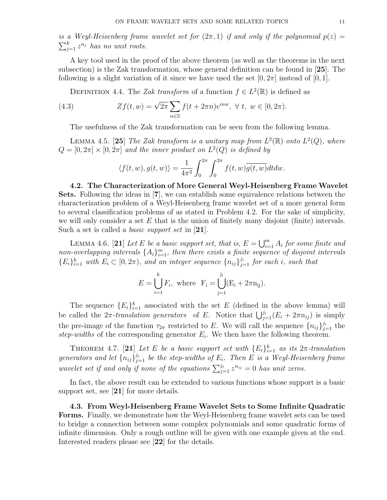is a Weyl-Heisenberg frame wavelet set for  $(2\pi, 1)$  if and only if the polynomial  $p(z) = \sum_{k=1}^{k} p_k^{n_k}$  $_{j=1}^k z^{n_j}$  has no unit roots.

A key tool used in the proof of the above theorem (as well as the theorems in the next subsection) is the Zak transformation, whose general definition can be found in [25]. The following is a slight variation of it since we have used the set  $[0, 2\pi]$  instead of  $[0, 1]$ .

DEFINITION 4.4. The Zak transform of a function  $f \in L^2(\mathbb{R})$  is defined as

(4.3) 
$$
Zf(t, w) = \sqrt{2\pi} \sum_{n \in \mathbb{Z}} f(t + 2\pi n) e^{i n w}, \ \forall \ t, \ w \in [0, 2\pi).
$$

The usefulness of the Zak transformation can be seen from the following lemma.

LEMMA 4.5. [25] The Zak transform is a unitary map from  $L^2(\mathbb{R})$  onto  $L^2(Q)$ , where  $Q = [0, 2\pi] \times [0, 2\pi]$  and the inner product on  $L^2(Q)$  is defined by

$$
\langle f(t, w), g(t, w) \rangle = \frac{1}{4\pi^2} \int_0^{2\pi} \int_0^{2\pi} f(t, w) \overline{g(t, w)} dt dw.
$$

4.2. The Characterization of More General Weyl-Heisenberg Frame Wavelet Sets. Following the ideas in [7], we can establish some equivalence relations between the characterization problem of a Weyl-Heisenberg frame wavelet set of a more general form to several classification problems of as stated in Problem 4.2. For the sake of simplicity, we will only consider a set  $E$  that is the union of finitely many disjoint (finite) intervals. Such a set is called a *basic support set* in [21].

LEMMA 4.6. [21] Let E be a basic support set, that is,  $E = \bigcup_{i=1}^{m} E_i$  $\frac{m}{i=1}$   $A_i$  for some finite and non-overlapping intervals  $\{A_i\}_{i=1}^m$ , then there exists a finite sequence of disjoint intervals  ${E_i}_{i=1}^k$  with  $E_i \subset [0, 2\pi)$ , and an integer sequence  ${n_{ij}}_{j=1}^{j_i}$  for each i, such that

$$
E = \bigcup_{i=1}^{k} F_i
$$
, where  $F_i = \bigcup_{j=1}^{j_i} (E_i + 2\pi n_{ij}).$ 

The sequence  ${E_i}_{i=1}^k$  associated with the set E (defined in the above lemma) will The sequence  $\{E_i\}_{i=1}^n$  associated with the set E (defined in the above femina) will<br>be called the  $2\pi$ -translation generators of E. Notice that  $\bigcup_{j=1}^{j_i} (E_i + 2\pi n_{ij})$  is simply the pre-image of the function  $\tau_{2\pi}$  restricted to E. We will call the sequence  $\{n_{ij}\}_{j=1}^{j_i}$  the step-widths of the corresponding generator  $E_i$ . We then have the following theorem.

THEOREM 4.7. [21] Let E be a basic support set with  $\{E_i\}_{i=1}^k$  as its  $2\pi$ -translation generators and let  $\{n_{ij}\}_{j=1}^{j_i}$  be the step-widths of  $E_i$ . Then E is a Weyl-Heisenberg frame yencrators and tell  $\lfloor n_{ij} \rfloor_{j=1}^{j=1}$  or the step whalls by  $E_i$ . Then E is a Wegt Helst<br>wavelet set if and only if none of the equations  $\sum_{j=1}^{j_i} z^{n_{ij}} = 0$  has unit zeros.

In fact, the above result can be extended to various functions whose support is a basic support set, see [21] for more details.

4.3. From Weyl-Heisenberg Frame Wavelet Sets to Some Infinite Quadratic Forms. Finally, we demonstrate how the Weyl-Heisenberg frame wavelet sets can be used to bridge a connection between some complex polynomials and some quadratic forms of infinite dimension. Only a rough outline will be given with one example given at the end. Interested readers please see [22] for the details.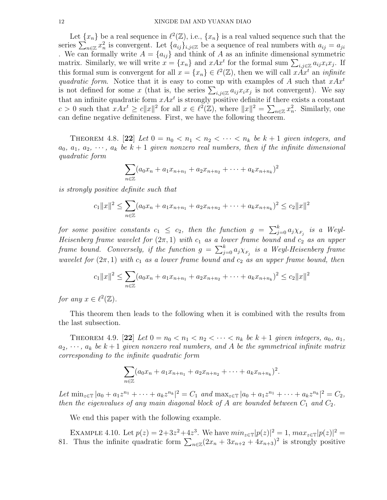Let  $\{x_n\}$  be a real sequence in  $\ell^2(\mathbb{Z})$ , i.e.,  $\{x_n\}$  is a real valued sequence such that the Let  $\{x_n\}$  be a real sequence in  $\ell^-(\mathbb{Z})$ , i.e.,  $\{x_n\}$  is a real valued sequence such that the series  $\sum_{n\in\mathbb{Z}} x_n^2$  is convergent. Let  $\{a_{ij}\}_{i,j\in\mathbb{Z}}$  be a sequence of real numbers with  $a_{ij} = a_{ji}$ . We can formally write  $A = \{a_{ij}\}\$ and think of A as an infinite dimensional symmetric we can formally write  $A = \{a_{ij}\}\$  and think of A as an infinite dimensional symmetric matrix. Similarly, we will write  $x = \{x_n\}$  and  $xAx^t$  for the formal sum  $\sum_{i,j\in\mathbb{Z}} a_{ij}x_ix_j$ . If this formal sum is convergent for all  $x = \{x_n\} \in \ell^2(\mathbb{Z})$ , then we will call  $x \tilde{A} x^t$  an *infinite* quadratic form. Notice that it is easy to come up with examples of A such that  $xAx^t$ quadratic form. Notice that it is easy to come up with examples of A such that xAxis not defined for some x (that is, the series  $\sum_{i,j\in\mathbb{Z}} a_{ij}x_ix_j$  is not convergent). We say that an infinite quadratic form  $xAx^t$  is strongly positive definite if there exists a constant  $c > 0$  such that  $xAx^t \ge c||x||^2$  for all  $x \in \ell^2(\mathbb{Z})$ , where  $||x||^2 = \sum_{n \in \mathbb{Z}} x_n^2$ . Similarly, one can define negative definiteness. First, we have the following theorem.

THEOREM 4.8. [22] Let  $0 = n_0 < n_1 < n_2 < \cdots < n_k$  be  $k+1$  given integers, and  $a_0, a_1, a_2, \cdots, a_k$  be  $k+1$  given nonzero real numbers, then if the infinite dimensional quadratic form

$$
\sum_{n\in\mathbb{Z}}(a_0x_n+a_1x_{n+n_1}+a_2x_{n+n_2}+\cdots+a_kx_{n+n_k})^2
$$

is strongly positive definite such that

$$
c_1||x||^2 \leq \sum_{n \in \mathbb{Z}} (a_0x_n + a_1x_{n+n_1} + a_2x_{n+n_2} + \cdots + a_kx_{n+n_k})^2 \leq c_2||x||^2
$$

for some positive constants  $c_1 \leq c_2$ , then the function  $g = \sum_{i=1}^{k} a_i$  $_{j=0}^{\kappa}\,a_j\chi_{_{F_j}}\;\;is\;\;a\;\;Weyl.$ Heisenberg frame wavelet for  $(2\pi, 1)$  with  $c_1$  as a lower frame bound and  $c_2$  as an upper Frame bound. Conversely, if the function  $g = \sum_{i=1}^{k}$  $\sum_{j=0}^k a_j \chi_{_{F_j}}\;$  is a Weyl-Heisenberg frame wavelet for  $(2\pi, 1)$  with  $c_1$  as a lower frame bound and  $c_2$  as an upper frame bound, then

$$
c_1||x||^2 \leq \sum_{n \in \mathbb{Z}} (a_0x_n + a_1x_{n+n_1} + a_2x_{n+n_2} + \cdots + a_kx_{n+n_k})^2 \leq c_2||x||^2
$$

for any  $x \in \ell^2(\mathbb{Z})$ .

This theorem then leads to the following when it is combined with the results from the last subsection.

THEOREM 4.9. [22] Let  $0 = n_0 < n_1 < n_2 < \cdots < n_k$  be  $k + 1$  given integers,  $a_0, a_1$ ,  $a_2, \dots, a_k$  be  $k+1$  given nonzero real numbers, and A be the symmetrical infinite matrix corresponding to the infinite quadratic form

$$
\sum_{n\in\mathbb{Z}}(a_0x_n+a_1x_{n+n_1}+a_2x_{n+n_2}+\cdots+a_kx_{n+n_k})^2.
$$

Let  $\min_{z \in \mathbb{T}} |a_0 + a_1 z^{n_1} + \cdots + a_k z^{n_k}|^2 = C_1$  and  $\max_{z \in \mathbb{T}} |a_0 + a_1 z^{n_1} + \cdots + a_k z^{n_k}|^2 = C_2$ , then the eigenvalues of any main diagonal block of  $A$  are bounded between  $C_1$  and  $C_2$ .

We end this paper with the following example.

EXAMPLE 4.10. Let  $p(z) = 2 + 3z^2 + 4z^3$ . We have  $min_{z \in \mathbb{T}} |p(z)|^2 = 1$ ,  $max_{z \in \mathbb{T}} |p(z)|^2 =$ EXAMPLE 4.10. Let  $p(z) = z + 3z^2 + 4z^3$ . We have  $mnz_{\in}p(z)|^2 = 1$ ,  $max_{z \in \mathbb{T}} |p(z)|^2 = 81$ . Thus the infinite quadratic form  $\sum_{n \in \mathbb{Z}} (2x_n + 3x_{n+2} + 4x_{n+3})^2$  is strongly positive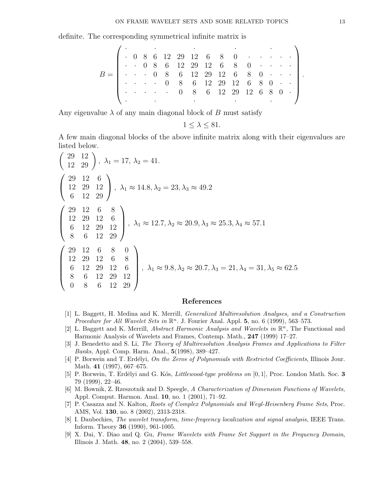definite. The corresponding symmetrical infinite matrix is

B = · · · · · · 0 8 6 12 29 12 6 8 0 · · · · · · · 0 8 6 12 29 12 6 8 0 · · · · · · · 0 8 6 12 29 12 6 8 0 · · · · · · · 0 8 6 12 29 12 6 8 0 · · · · · · · 0 8 6 12 29 12 6 8 0 · · · · · · .

Any eigenvalue  $\lambda$  of any main diagonal block of B must satisfy

$$
1 \leq \lambda \leq 81.
$$

A few main diagonal blocks of the above infinite matrix along with their eigenvalues are

listed below.  
\n
$$
\begin{pmatrix} 29 & 12 \\ 12 & 29 \end{pmatrix}
$$
,  $\lambda_1 = 17$ ,  $\lambda_2 = 41$ .  
\n $\begin{pmatrix} 29 & 12 & 6 \\ 12 & 29 & 12 \\ 6 & 12 & 29 \end{pmatrix}$ ,  $\lambda_1 \approx 14.8$ ,  $\lambda_2 = 23$ ,  $\lambda_3 \approx 49.2$   
\n $\begin{pmatrix} 29 & 12 & 6 & 8 \\ 12 & 29 & 12 & 6 \\ 6 & 12 & 29 & 12 \\ 8 & 6 & 12 & 29 \end{pmatrix}$ ,  $\lambda_1 \approx 12.7$ ,  $\lambda_2 \approx 20.9$ ,  $\lambda_3 \approx 25.3$ ,  $\lambda_4 \approx 57.1$   
\n $\begin{pmatrix} 29 & 12 & 6 & 8 & 0 \\ 12 & 29 & 12 & 6 & 8 \\ 6 & 12 & 29 & 12 & 6 \\ 8 & 6 & 12 & 29 & 12 \\ 0 & 8 & 6 & 12 & 29 \end{pmatrix}$ ,  $\lambda_1 \approx 9.8$ ,  $\lambda_2 \approx 20.7$ ,  $\lambda_3 = 21$ ,  $\lambda_4 = 31$ ,  $\lambda_5 \approx 62.5$ 

#### References

- [1] L. Baggett, H. Medina and K. Merrill, Generalized Multiresolution Analyses, and a Construction Procedure for All Wavelet Sets in  $\mathbb{R}^n$ . J. Fourier Anal. Appl. 5, no. 6 (1999), 563-573.
- [2] L. Baggett and K. Merrill, *Abstract Harmonic Analysis and Wavelets in*  $\mathbb{R}^n$ , The Functional and Harmonic Analysis of Wavelets and Frames, Contemp. Math., 247 (1999) 17–27.
- [3] J. Benedetto and S. Li, The Theory of Multiresolution Analysis Frames and Applications to Filter Banks, Appl. Comp. Harm. Anal., 5(1998), 389–427.
- [4] P. Borwein and T. Erdélyi, On the Zeros of Polynomials with Restricted Coefficients, Illinois Jour. Math. 41 (1997), 667–675.
- [5] P. Borwein, T. Erdélyi and G. Kós, *Littlewood-type problems on* [0, 1], Proc. London Math. Soc. 3 79 (1999), 22–46.
- [6] M. Bownik, Z. Rzeszotnik and D. Speegle, A Characterization of Dimension Functions of Wavelets, Appl. Comput. Harmon. Anal. 10, no. 1 (2001), 71–92.
- [7] P. Casazza and N. Kalton, Roots of Complex Polynomials and Weyl-Heisenberg Frame Sets, Proc. AMS, Vol. 130, no. 8 (2002), 2313-2318.
- [8] I. Daubechies, The wavelet transform, time-freqeency localization and signal analysis, IEEE Trans. Inform. Theory 36 (1990), 961-1005.
- [9] X. Dai, Y. Diao and Q. Gu, Frame Wavelets with Frame Set Support in the Frequency Domain, Illinois J. Math. 48, no. 2 (2004), 539–558.